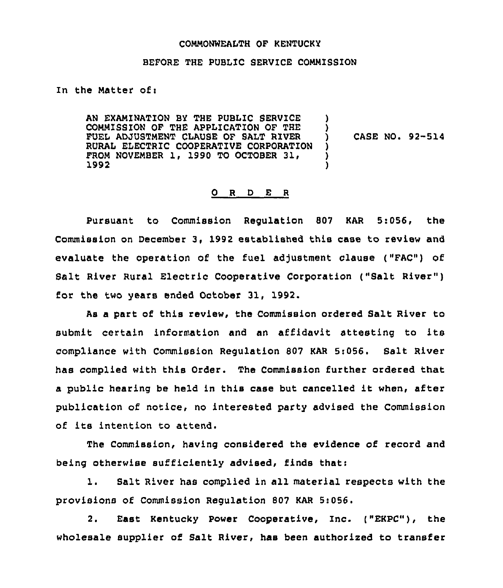#### COMMONWEALTH OF KENTUCKY

#### BEFORE THE PUBLIC SERVICE COMMISSION

## In the Matter of:

AN EXAMINATION BY THE PUBLIC SERVICE COMMISSION OF THE APPLICATION OF THE FUEL ADJUSTMENT CLAUSE OF SALT RIVER RURAL ELECTRIC COOPERATIVE CORPORATION FROM NOVEMBER 1, 1990 TO OCTOBER 31, 1992  $\lambda$ )<br>) ) ) )

CASE NO. 92-514

#### 0 <sup>R</sup> <sup>D</sup> E <sup>R</sup>

Pursuant to Commission Regulation 807 KAR 5:056, the Commission on December 3, 1992 established this case to review and evaluate the operation of the fuel adjustment clause ("FAC") of Salt River Rural Electric Cooperative Corporation ("Salt River" ) for the two years ended October 31, 1992.

As a part of this review, the Commission ordered Salt River to submit certain information and an affidavit attesting to its compliance with Commission Regulation 807 KAR 5:056. Salt River has complied with this Order. The Commission further ordered that <sup>a</sup> public hearing be held in this case but cancelled it when, after publication of notice, no interested party advised the Commission of its intention to attend.

The Commission, having considered the evidence of record and being otherwise sufficiently advised, finds that:

1. Salt River has complied in all material respects with the provisions of Commission Regulation 807 KAR 5:056.

2. East Kentucky Power Cooperative, Inc. ("EKPC"), the wholesale supplier of Salt River, has been authorized to transfer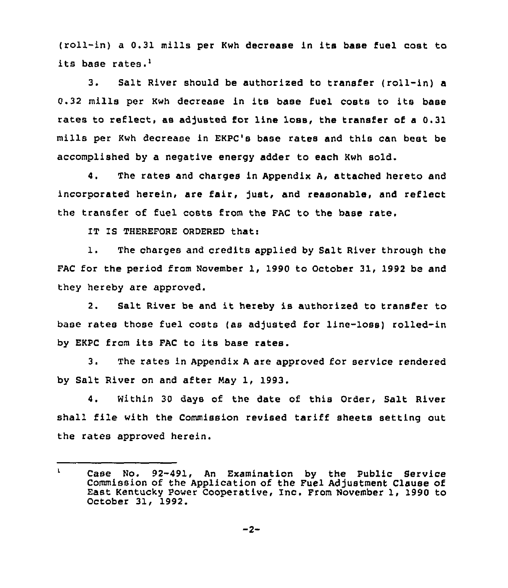(roll-in) <sup>a</sup> 0.31 mills per Kwh decrease in its base fuel cost to its base rates.'.

 $3.$ Salt River should be authorized to transfer (roll-in) a 0.32 mills per Kwh decrease in its base fuel costs to its base rates to reflect, as adjusted for line loss, the transfer of a 0.31 mills per Kwh decrease in EKPC's base rates and this can best be accomplished by a negative energy adder to each Kwh sold.

4. The rates and charges in Appendix A, attached hereto and incorporated herein, are fair, just, and reasonable, and reflect the transfer of fuel costs from the FAC to the base rate.

IT IS THEREFORE ORDERED that:

1. The charges and credits applied by Salt River through the FAC for the period from November 1, 1990 to October 31, 1992 be and they hereby are approved.

2. Salt River be and it hereby is authorized to transfer to base rates those fuel costs (as adjusted for line-loss) rolled-in by EKPC from its FAC to its base rates.

3. The rates in Appendix A are approved for service rendered by Salt River on and after May 1, 1993.

4. Within 30 days of the date of this Order, Salt River shall file with the Commission revised tariff sheets setting out the rates approved herein.

 $\mathbf{L}$ Case No. 92-491, An Examination by the Public Service Commission of the Application of the Fuel Adjustment Clause of East Kentucky Power Cooperative, Inc. From November 1, 1990 to October 31, 1992.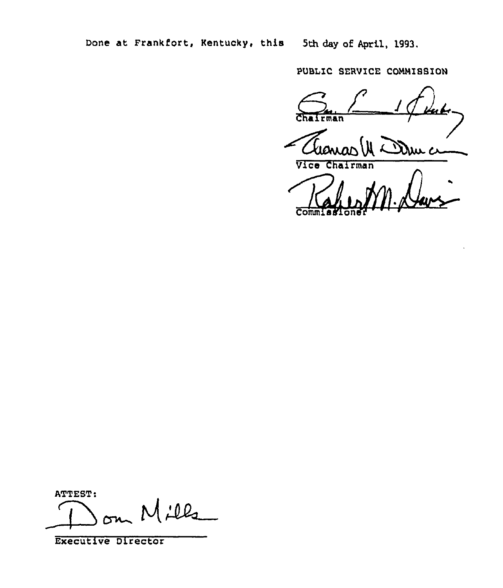PUBLIC SERVICE COMMISSION

56 rman

Due c

Vice Chairman

ATTEST:

 $L_{\ell}$  $\overline{\phantom{0}}$ 

Executive Director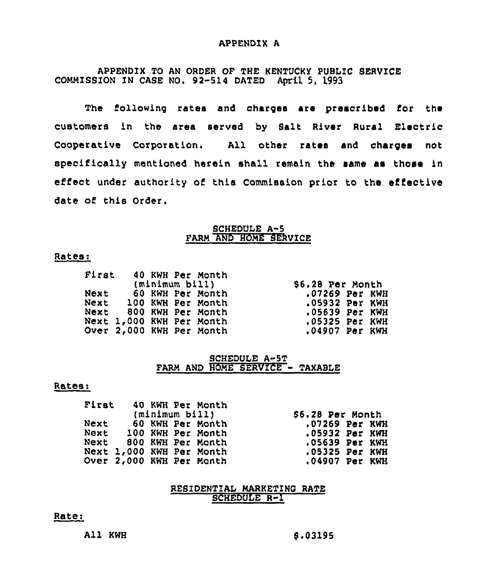#### APPENDIX A

APPENDIX TO AN ORDER OF THE KENTUCKy PUBLIC SERVICE COMMISSION IN CASE NO. 92-514 DATED April 5, 1993

The following rates and charges are prescribed for the customers in the area served by Salt River Rural Electric Cooperative Corporation. All other rates and charges not specifically mentioned herein shall remain the same as those in effect under authority of this Commission prior to the effective date of this Order.

## SCHEDULE A-5 FARM AND HOME SERVICE

## Rates:

| First |                          |                | 40 KWH Per Month |  |
|-------|--------------------------|----------------|------------------|--|
|       |                          | (minimum bill) |                  |  |
| Next  |                          |                | 60 KWH Per Month |  |
|       | Next 100 KWH Per Month   |                |                  |  |
|       | Next 800 KWH Per Month   |                |                  |  |
|       | Next 1,000 KWH Per Month |                |                  |  |
|       | Over 2,000 KWH Per Month |                |                  |  |

86,28 Psr Month .07269 Per KWH .05932 Psr KWH .05639 Per KWH <sup>~</sup> 05325 Per KWH .04907 Per KWH

# SCHEDULE A-5T FARM AND HOME SERVICE - TAXABLE

#### Rates:

| First |  | 40 KWH Per Month         |                  |  |
|-------|--|--------------------------|------------------|--|
|       |  | (minimum bill)           | \$6.28 Per Month |  |
| Next  |  | 60 KWH Per Month         | $.07269$ Per KWH |  |
|       |  | Next 100 KWH Per Month   | $.05932$ Par KWH |  |
|       |  | Next 800 KWH Per Month   | .05639 Per KWH   |  |
|       |  | Next 1,000 KWH Per Month | $.05325$ Per KWH |  |
|       |  | Over 2,000 KWH Per Month | .04907 Per KWH   |  |

## RESIDENTIAL MARKETING RATE SCHEDULE R-I

## Rater

All KWH

8,03195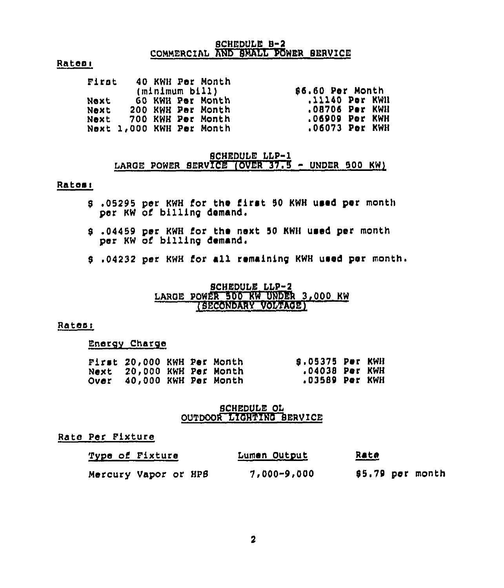## SCHEDULE B-2 COMMERCIAL AND SMALL POWER SERVICE

#### Rateal

| First        | 40 KWH Per Month<br>(m1n1mum b11)                                                             | \$6.60 Per Month                                                     |
|--------------|-----------------------------------------------------------------------------------------------|----------------------------------------------------------------------|
| Next<br>Next | 60 KWH Per Month<br>- 200 KWH Per Month<br>Next 700 KWH Per Month<br>Next 1,000 KWH Per Month | .11140 Per KWN<br>.08706 Per KWH<br>.06909 Per KWH<br>.06073 Per KWH |

# SCHEDULE LLP-1 LARGE POWER SERVICE (OVER 37.5 - UNDER 500 KW)

#### Rates<

- <sup>5</sup> ,05295 per KWH for the I'irst <sup>50</sup> KWH used per month per KW of billing demand.
- 5 ,04459 per KWH for the next 50 KWH used per month per KW of billing demand
- <sup>5</sup> <sup>~</sup> 04232 per KWH for all remaining KWH used per month

## SCHEDULE LLP-2 LARGE POWER 500 KW UNDER 3,000 KW (SECONDARY VOLTAOE)

#### Ratasi

Energy Charge

| First 20,000 KWH Per Month |  | <b>S.05375 Per KWH</b> |  |
|----------------------------|--|------------------------|--|
| Next 20,000 KWH Per Month  |  | .04038 Per KWH         |  |
| Over 40,000 KWH Per Month  |  | .03589 Par KWH         |  |

# SCHEDULE OL OUTDOOR LIOHTINO SERVICE

# Rate Per Pixture

| Type of Fixture      | Lumen Output    | <u>Rate</u>      |
|----------------------|-----------------|------------------|
| Mercury Vapor or HPB | $7,000 - 9,000$ | \$5.79 per month |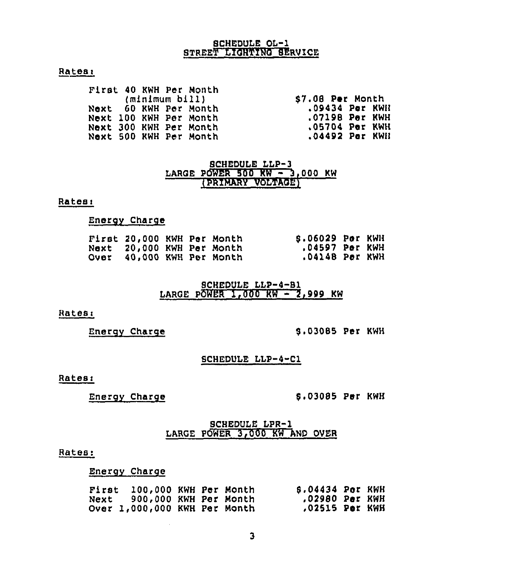# SCHEDULE Of-1 STREET LIGHTING SERVICE

# Rates:

| (minimum bill)                           | \$7.08 Per Month |
|------------------------------------------|------------------|
| .09434 Per KWH<br>Next 60 KWH Per Month  |                  |
| .07198 Per KWH<br>Next 100 KWH Per Month |                  |
| .05704 Per KWH<br>Next 300 KWH Per Month |                  |
| Next 500 KWH Per Month                   |                  |

# SCHEDULE LLP-3<br>LARGE POWER 500 KW - 3,000 KW IPRXMARY VOLTAGE)

# Rates:

## Energy Charge

| First 20,000 KWH Per Month       |  | S.06029 Por KWH |  |
|----------------------------------|--|-----------------|--|
| Next 20,000 KWH Per Month        |  | .04597 Por KWH  |  |
| <b>Over 40,000 KWH Per Month</b> |  | .04148 Per KWH  |  |

# SCHEDULE LLP-4-81 LARGE POWER 1,000 KW  $-$  7,999 KW

#### Rates:

Energy Charge 8,03085 Per KWH

#### SCHEDULE LIP-4-Cl

# Rates:

Energy Charge

# 8,03085 Per KWH

# SCHEDULE LPR-1 LARGE POWER 3,000 KW AND OVER

## Rates:

Energy Charge

| First 100,000 KWH Per Month   |  | \$.04434 Per KWH |  |
|-------------------------------|--|------------------|--|
| Next    900,000 KWH Per Month |  | .02980 Per KWH   |  |
| Over 1,000,000 KWH Per Month  |  | ,02515 Per KWH   |  |